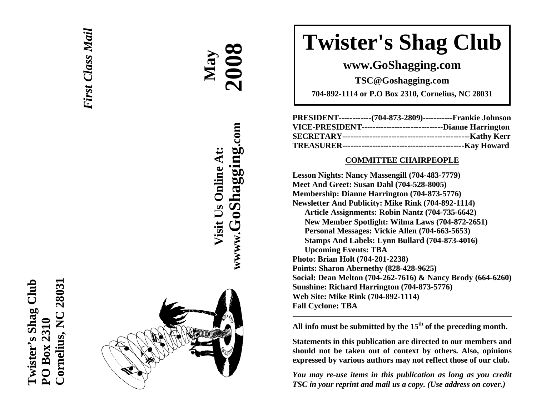



**AA May 2008**

**Visit Us Online At:**

Visit Us Online At:

**wwww.GoShagging.com**

www.GoShagging.com

# **Twister's Shag Club**

**www.GoShagging.com** 

**TSC@Goshagging.com** 

**704-892-1114 or P.O Box 2310, Cornelius, NC 28031** 

|  | PRESIDENT-------------(704-873-2809)------------Frankie Johnson  |
|--|------------------------------------------------------------------|
|  | VICE-PRESIDENT---------------------------------Dianne Harrington |
|  |                                                                  |
|  |                                                                  |

#### **COMMITTEE CHAIRPEOPLE**

**Lesson Nights: Nancy Massengill (704-483-7779) Meet And Greet: Susan Dahl (704-528-8005) Membership: Dianne Harrington (704-873-5776) Newsletter And Publicity: Mike Rink (704-892-1114) Article Assignments: Robin Nantz (704-735-6642) New Member Spotlight: Wilma Laws (704-872-2651) Personal Messages: Vickie Allen (704-663-5653) Stamps And Labels: Lynn Bullard (704-873-4016) Upcoming Events: TBA Photo: Brian Holt (704-201-2238) Points: Sharon Abernethy (828-428-9625) Social: Dean Melton (704-262-7616) & Nancy Brody (664-6260) Sunshine: Richard Harrington (704-873-5776) Web Site: Mike Rink (704-892-1114) Fall Cyclone: TBA** 

**All info must be submitted by the 15th of the preceding month.** 

**Statements in this publication are directed to our members and should not be taken out of context by others. Also, opinions expressed by various authors may not reflect those of our club.** 

*You may re-use items in this publication as long as you credit TSC in your reprint and mail us a copy. (Use address on cover.)*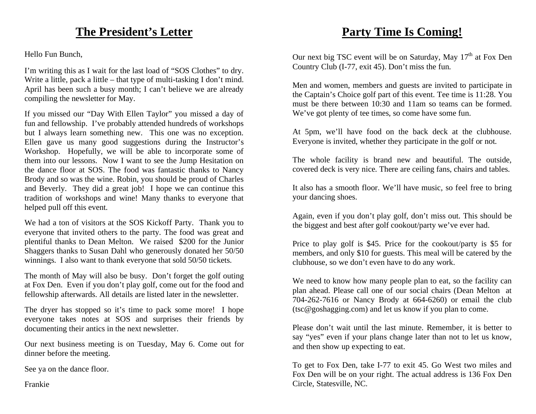## **The President's Letter**

Hello Fun Bunch,

I'm writing this as I wait for the last load of "SOS Clothes" to dry. Write a little, pack a little – that type of multi-tasking I don't mind. April has been such a busy month; I can't believe we are already compiling the newsletter for May.

If you missed our "Day With Ellen Taylor" you missed a day of fun and fellowship. I've probably attended hundreds of workshops but I always learn something new. This one was no exception. Ellen gave us many good suggestions during the Instructor's Workshop. Hopefully, we will be able to incorporate some of them into our lessons. Now I want to see the Jump Hesitation on the dance floor at SOS. The food was fantastic thanks to Nancy Brody and so was the wine. Robin, you should be proud of Charles and Beverly. They did a great job! I hope we can continue this tradition of workshops and wine! Many thanks to everyone that helped pull off this event.

We had a ton of visitors at the SOS Kickoff Party. Thank you to everyone that invited others to the party. The food was great and plentiful thanks to Dean Melton. We raised \$200 for the Junior Shaggers thanks to Susan Dahl who generously donated her 50/50 winnings. I also want to thank everyone that sold 50/50 tickets.

The month of May will also be busy. Don't forget the golf outing at Fox Den. Even if you don't play golf, come out for the food and fellowship afterwards. All details are listed later in the newsletter.

The dryer has stopped so it's time to pack some more! I hope everyone takes notes at SOS and surprises their friends by documenting their antics in the next newsletter.

Our next business meeting is on Tuesday, May 6. Come out for dinner before the meeting.

See ya on the dance floor.

Frankie

## **Party Time Is Coming!**

Our next big TSC event will be on Saturday, May  $17<sup>th</sup>$  at Fox Den Country Club (I-77, exit 45). Don't miss the fun.

Men and women, members and guests are invited to participate in the Captain's Choice golf part of this event. Tee time is 11:28. You must be there between 10:30 and 11am so teams can be formed. We've got plenty of tee times, so come have some fun.

At 5pm, we'll have food on the back deck at the clubhouse. Everyone is invited, whether they participate in the golf or not.

The whole facility is brand new and beautiful. The outside, covered deck is very nice. There are ceiling fans, chairs and tables.

It also has a smooth floor. We'll have music, so feel free to bring your dancing shoes.

Again, even if you don't play golf, don't miss out. This should be the biggest and best after golf cookout/party we've ever had.

Price to play golf is \$45. Price for the cookout/party is \$5 for members, and only \$10 for guests. This meal will be catered by the clubhouse, so we don't even have to do any work.

We need to know how many people plan to eat, so the facility can plan ahead. Please call one of our social chairs (Dean Melton at 704-262-7616 or Nancy Brody at 664-6260) or email the club (tsc@goshagging.com) and let us know if you plan to come.

Please don't wait until the last minute. Remember, it is better to say "yes" even if your plans change later than not to let us know, and then show up expecting to eat.

To get to Fox Den, take I-77 to exit 45. Go West two miles and Fox Den will be on your right. The actual address is 136 Fox Den Circle, Statesville, NC.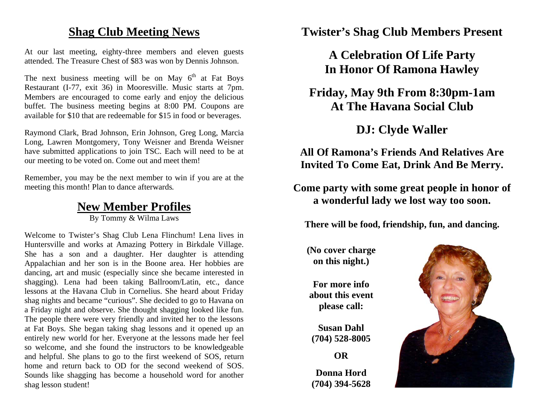#### **Shag Club Meeting News**

At our last meeting, eighty-three members and eleven guests attended. The Treasure Chest of \$83 was won by Dennis Johnson.

The next business meeting will be on May  $6<sup>th</sup>$  at Fat Boys Restaurant (I-77, exit 36) in Mooresville. Music starts at 7pm. Members are encouraged to come early and enjoy the delicious buffet. The business meeting begins at 8:00 PM. Coupons are available for \$10 that are redeemable for \$15 in food or beverages.

Raymond Clark, Brad Johnson, Erin Johnson, Greg Long, Marcia Long, Lawren Montgomery, Tony Weisner and Brenda Weisner have submitted applications to join TSC. Each will need to be at our meeting to be voted on. Come out and meet them!

Remember, you may be the next member to win if you are at the meeting this month! Plan to dance afterwards.

# **New Member Profiles**

By Tommy & Wilma Laws

Welcome to Twister's Shag Club Lena Flinchum! Lena lives in Huntersville and works at Amazing Pottery in Birkdale Village. She has a son and a daughter. Her daughter is attending Appalachian and her son is in the Boone area. Her hobbies are dancing, art and music (especially since she became interested in shagging). Lena had been taking Ballroom/Latin, etc., dance lessons at the Havana Club in Cornelius. She heard about Friday shag nights and became "curious". She decided to go to Havana on a Friday night and observe. She thought shagging looked like fun. The people there were very friendly and invited her to the lessons at Fat Boys. She began taking shag lessons and it opened up an entirely new world for her. Everyone at the lessons made her feel so welcome, and she found the instructors to be knowledgeable and helpful. She plans to go to the first weekend of SOS, return home and return back to OD for the second weekend of SOS. Sounds like shagging has become a household word for another shag lesson student!

**Twister's Shag Club Members Present** 

**A Celebration Of Life Party In Honor Of Ramona Hawley** 

**Friday, May 9th From 8:30pm-1am At The Havana Social Club** 

**DJ: Clyde Waller** 

**All Of Ramona's Friends And Relatives Are Invited To Come Eat, Drink And Be Merry.** 

**Come party with some great people in honor of a wonderful lady we lost way too soon.** 

**There will be food, friendship, fun, and dancing.** 

**(No cover charge on this night.)** 

**For more info about this event please call:** 

**Susan Dahl (704) 528-8005** 

**OR** 

**Donna Hord (704) 394-5628** 

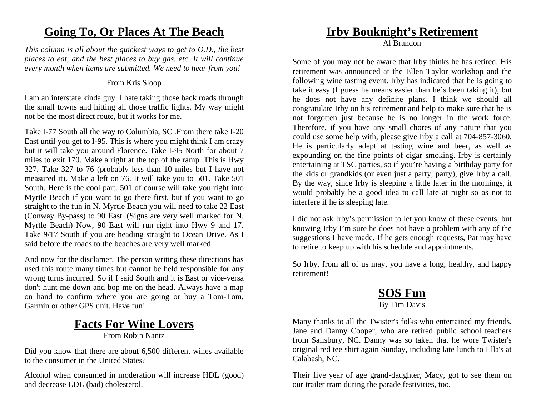## **Going To, Or Places At The Beach**

*This column is all about the quickest ways to get to O.D., the best places to eat, and the best places to buy gas, etc. It will continue every month when items are submitted. We need to hear from you!* 

#### From Kris Sloop

I am an interstate kinda guy. I hate taking those back roads through the small towns and hitting all those traffic lights. My way might not be the most direct route, but it works for me.

Take I-77 South all the way to Columbia, SC .From there take I-20 East until you get to I-95. This is where you might think I am crazy but it will take you around Florence. Take I-95 North for about 7 miles to exit 170. Make a right at the top of the ramp. This is Hwy 327. Take 327 to 76 (probably less than 10 miles but I have not measured it). Make a left on 76. It will take you to 501. Take 501 South. Here is the cool part. 501 of course will take you right into Myrtle Beach if you want to go there first, but if you want to go straight to the fun in N. Myrtle Beach you will need to take 22 East (Conway By-pass) to 90 East. (Signs are very well marked for N. Myrtle Beach) Now, 90 East will run right into Hwy 9 and 17. Take 9/17 South if you are heading straight to Ocean Drive. As I said before the roads to the beaches are very well marked.

And now for the disclamer. The person writing these directions has used this route many times but cannot be held responsible for any wrong turns incurred. So if I said South and it is East or vice-versa don't hunt me down and bop me on the head. Always have a map on hand to confirm where you are going or buy a Tom-Tom, Garmin or other GPS unit. Have fun!

## **Facts For Wine Lovers**

From Robin Nantz

Did you know that there are about 6,500 different wines available to the consumer in the United States?

Alcohol when consumed in moderation will increase HDL (good) and decrease LDL (bad) cholesterol.

## **Irby Bouknight's Retirement**

Al Brandon

Some of you may not be aware that Irby thinks he has retired. His retirement was announced at the Ellen Taylor workshop and the following wine tasting event. Irby has indicated that he is going to take it easy (I guess he means easier than he's been taking it), but he does not have any definite plans. I think we should all congratulate Irby on his retirement and help to make sure that he is not forgotten just because he is no longer in the work force. Therefore, if you have any small chores of any nature that you could use some help with, please give Irby a call at 704-857-3060. He is particularly adept at tasting wine and beer, as well as expounding on the fine points of cigar smoking. Irby is certainly entertaining at TSC parties, so if you're having a birthday party for the kids or grandkids (or even just a party, party), give Irby a call. By the way, since Irby is sleeping a little later in the mornings, it would probably be a good idea to call late at night so as not to interfere if he is sleeping late.

I did not ask Irby's permission to let you know of these events, but knowing Irby I'm sure he does not have a problem with any of the suggestions I have made. If he gets enough requests, Pat may have to retire to keep up with his schedule and appointments.

So Irby, from all of us may, you have a long, healthy, and happy retirement!

#### **SOS Fun** By Tim Davis

Many thanks to all the Twister's folks who entertained my friends, Jane and Danny Cooper, who are retired public school teachers from Salisbury, NC. Danny was so taken that he wore Twister's original red tee shirt again Sunday, including late lunch to Ella's at Calabash, NC.

Their five year of age grand-daughter, Macy, got to see them on our trailer tram during the parade festivities, too.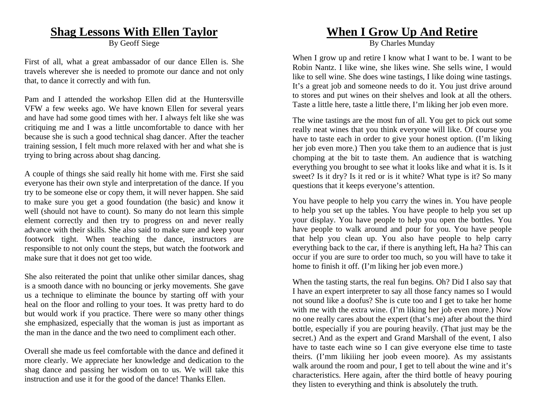#### **Shag Lessons With Ellen Taylor**

By Geoff Siege

First of all, what a great ambassador of our dance Ellen is. She travels wherever she is needed to promote our dance and not only that, to dance it correctly and with fun.

Pam and I attended the workshop Ellen did at the Huntersville VFW a few weeks ago. We have known Ellen for several years and have had some good times with her. I always felt like she was critiquing me and I was a little uncomfortable to dance with her because she is such a good technical shag dancer. After the teacher training session, I felt much more relaxed with her and what she is trying to bring across about shag dancing.

A couple of things she said really hit home with me. First she said everyone has their own style and interpretation of the dance. If you try to be someone else or copy them, it will never happen. She said to make sure you get a good foundation (the basic) and know it well (should not have to count). So many do not learn this simple element correctly and then try to progress on and never really advance with their skills. She also said to make sure and keep your footwork tight. When teaching the dance, instructors are responsible to not only count the steps, but watch the footwork and make sure that it does not get too wide.

She also reiterated the point that unlike other similar dances, shag is a smooth dance with no bouncing or jerky movements. She gave us a technique to eliminate the bounce by starting off with your heal on the floor and rolling to your toes. It was pretty hard to do but would work if you practice. There were so many other things she emphasized, especially that the woman is just as important as the man in the dance and the two need to compliment each other.

Overall she made us feel comfortable with the dance and defined it more clearly. We appreciate her knowledge and dedication to the shag dance and passing her wisdom on to us. We will take this instruction and use it for the good of the dance! Thanks Ellen.

## **When I Grow Up And Retire**

By Charles Munday

When I grow up and retire I know what I want to be. I want to be. Robin Nantz. I like wine, she likes wine. She sells wine, I would like to sell wine. She does wine tastings, I like doing wine tastings. It's a great job and someone needs to do it. You just drive around to stores and put wines on their shelves and look at all the others. Taste a little here, taste a little there, I'm liking her job even more.

The wine tastings are the most fun of all. You get to pick out some really neat wines that you think everyone will like. Of course you have to taste each in order to give your honest option. (I'm liking her job even more.) Then you take them to an audience that is just chomping at the bit to taste them. An audience that is watching everything you brought to see what it looks like and what it is. Is it sweet? Is it dry? Is it red or is it white? What type is it? So many questions that it keeps everyone's attention.

You have people to help you carry the wines in. You have people to help you set up the tables. You have people to help you set up your display. You have people to help you open the bottles. You have people to walk around and pour for you. You have people that help you clean up. You also have people to help carry everything back to the car, if there is anything left, Ha ha? This can occur if you are sure to order too much, so you will have to take it home to finish it off. (I'm liking her job even more.)

When the tasting starts, the real fun begins. Oh? Did I also say that I have an expert interpreter to say all those fancy names so I would not sound like a doofus? She is cute too and I get to take her home with me with the extra wine. (I'm liking her job even more.) Now no one really cares about the expert (that's me) after about the third bottle, especially if you are pouring heavily. (That just may be the secret.) And as the expert and Grand Marshall of the event, I also have to taste each wine so I can give everyone else time to taste theirs. (I'mm likiiing her joob eveen moore). As my assistants walk around the room and pour, I get to tell about the wine and it's characteristics. Here again, after the third bottle of heavy pouring they listen to everything and think is absolutely the truth.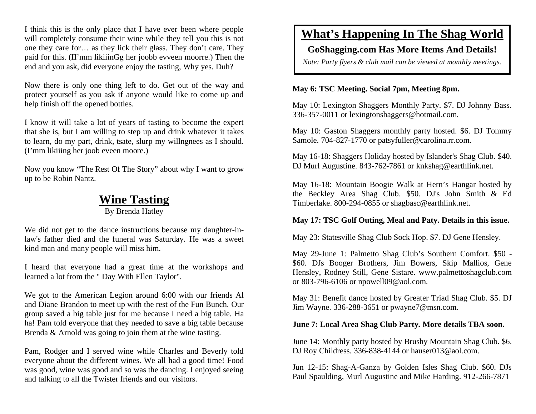I think this is the only place that I have ever been where people will completely consume their wine while they tell you this is not one they care for… as they lick their glass. They don't care. They paid for this. (II'mm likiiinGg her joobb evveen moorre.) Then the end and you ask, did everyone enjoy the tasting, Why yes. Duh?

Now there is only one thing left to do. Get out of the way and protect yourself as you ask if anyone would like to come up and help finish off the opened bottles.

I know it will take a lot of years of tasting to become the expert that she is, but I am willing to step up and drink whatever it takes to learn, do my part, drink, tsate, slurp my willngnees as I should. (I'mm likiiing her joob eveen moore.)

Now you know "The Rest Of The Story" about why I want to grow up to be Robin Nantz.

#### **Wine Tasting**

By Brenda Hatley

We did not get to the dance instructions because my daughter-inlaw's father died and the funeral was Saturday. He was a sweet kind man and many people will miss him.

I heard that everyone had a great time at the workshops and learned a lot from the " Day With Ellen Taylor".

We got to the American Legion around 6:00 with our friends Al and Diane Brandon to meet up with the rest of the Fun Bunch. Our group saved a big table just for me because I need a big table. Ha ha! Pam told everyone that they needed to save a big table because Brenda & Arnold was going to join them at the wine tasting.

Pam, Rodger and I served wine while Charles and Beverly told everyone about the different wines. We all had a good time! Food was good, wine was good and so was the dancing. I enjoyed seeing and talking to all the Twister friends and our visitors.

## **What's Happening In The Shag World**

#### **GoShagging.com Has More Items And Details!**

*Note: Party flyers & club mail can be viewed at monthly meetings.* 

#### **May 6: TSC Meeting. Social 7pm, Meeting 8pm.**

May 10: Lexington Shaggers Monthly Party. \$7. DJ Johnny Bass. 336-357-0011 or lexingtonshaggers@hotmail.com.

May 10: Gaston Shaggers monthly party hosted. \$6. DJ Tommy Samole. 704-827-1770 or patsyfuller@carolina.rr.com.

May 16-18: Shaggers Holiday hosted by Islander's Shag Club. \$40. DJ Murl Augustine. 843-762-7861 or knkshag@earthlink.net.

May 16-18: Mountain Boogie Walk at Hern's Hangar hosted by the Beckley Area Shag Club. \$50. DJ's John Smith & Ed Timberlake. 800-294-0855 or shagbasc@earthlink.net.

#### **May 17: TSC Golf Outing, Meal and Paty. Details in this issue.**

May 23: Statesville Shag Club Sock Hop. \$7. DJ Gene Hensley.

May 29-June 1: Palmetto Shag Club's Southern Comfort. \$50 - \$60. DJs Booger Brothers, Jim Bowers, Skip Mallios, Gene Hensley, Rodney Still, Gene Sistare. www.palmettoshagclub.com or 803-796-6106 or npowell09@aol.com.

May 31: Benefit dance hosted by Greater Triad Shag Club. \$5. DJ Jim Wayne. 336-288-3651 or pwayne7@msn.com.

#### **June 7: Local Area Shag Club Party. More details TBA soon.**

June 14: Monthly party hosted by Brushy Mountain Shag Club. \$6. DJ Roy Childress. 336-838-4144 or hauser013@aol.com.

Jun 12-15: Shag-A-Ganza by Golden Isles Shag Club. \$60. DJs Paul Spaulding, Murl Augustine and Mike Harding. 912-266-7871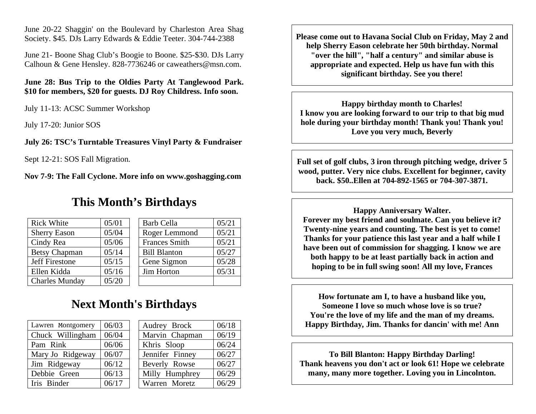June 20-22 Shaggin' on the Boulevard by Charleston Area Shag Society. \$45. DJs Larry Edwards & Eddie Teeter. 304-744-2388

June 21- Boone Shag Club's Boogie to Boone. \$25-\$30. DJs Larry Calhoun & Gene Hensley. 828-7736246 or caweathers@msn.com.

**June 28: Bus Trip to the Oldies Party At Tanglewood Park. \$10 for members, \$20 for guests. DJ Roy Childress. Info soon.** 

July 11-13: ACSC Summer Workshop

July 17-20: Junior SOS

**July 26: TSC's Turntable Treasures Vinyl Party & Fundraiser** 

Sept 12-21: SOS Fall Migration.

**Nov 7-9: The Fall Cyclone. More info on www.goshagging.com** 

#### **This Month's Birthdays**

| <b>Rick White</b>     | 05/01 | <b>Barb Cella</b>    | 05/21 |
|-----------------------|-------|----------------------|-------|
| <b>Sherry Eason</b>   | 05/04 | Roger Lemmond        | 05/21 |
| Cindy Rea             | 05/06 | <b>Frances Smith</b> | 05/21 |
| <b>Betsy Chapman</b>  | 05/14 | <b>Bill Blanton</b>  | 05/27 |
| Jeff Firestone        | 05/15 | Gene Sigmon          | 05/28 |
| Ellen Kidda           | 05/16 | Jim Horton           | 05/31 |
| <b>Charles Munday</b> | 05/20 |                      |       |

## **Next Month's Birthdays**

| Lawren Montgomery | 06/03 | Audrey Brock    | 06/18 |
|-------------------|-------|-----------------|-------|
| Chuck Willingham  | 06/04 | Marvin Chapman  | 06/19 |
| Pam Rink          | 06/06 | Khris Sloop     | 06/24 |
| Mary Jo Ridgeway  | 06/07 | Jennifer Finney | 06/27 |
| Jim Ridgeway      | 06/12 | Beverly Rowse   | 06/27 |
| Debbie Green      | 06/13 | Milly Humphrey  | 06/29 |
| Iris Binder       | 06/17 | Warren Moretz   | 06/29 |

**Please come out to Havana Social Club on Friday, May 2 and help Sherry Eason celebrate her 50th birthday. Normal "over the hill", "half a century" and similar abuse is appropriate and expected. Help us have fun with this significant birthday. See you there!** 

**Happy birthday month to Charles! I know you are looking forward to our trip to that big mud hole during your birthday month! Thank you! Thank you! Love you very much, Beverly** 

**Full set of golf clubs, 3 iron through pitching wedge, driver 5 wood, putter. Very nice clubs. Excellent for beginner, cavity back. \$50..Ellen at 704-892-1565 or 704-307-3871.** 

**Happy Anniversary Walter. Forever my best friend and soulmate. Can you believe it? Twenty-nine years and counting. The best is yet to come! Thanks for your patience this last year and a half while I have been out of commission for shagging. I know we are both happy to be at least partially back in action and hoping to be in full swing soon! All my love, Frances** 

**How fortunate am I, to have a husband like you, Someone I love so much whose love is so true? You're the love of my life and the man of my dreams. Happy Birthday, Jim. Thanks for dancin' with me! Ann** 

**To Bill Blanton: Happy Birthday Darling! Thank heavens you don't act or look 61! Hope we celebrate many, many more together. Loving you in Lincolnton.**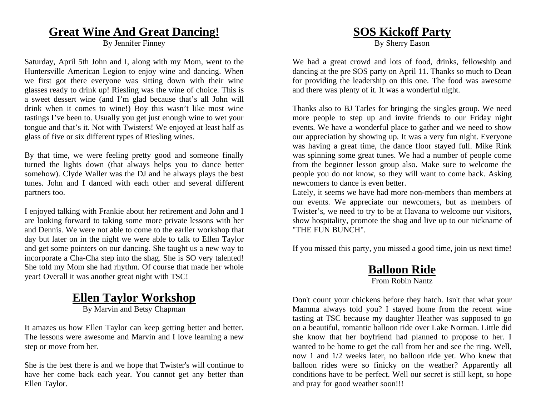#### **Great Wine And Great Dancing!**

By Jennifer Finney

Saturday, April 5th John and I, along with my Mom, went to the Huntersville American Legion to enjoy wine and dancing. When we first got there everyone was sitting down with their wine glasses ready to drink up! Riesling was the wine of choice. This is a sweet dessert wine (and I'm glad because that's all John will drink when it comes to wine!) Boy this wasn't like most wine tastings I've been to. Usually you get just enough wine to wet your tongue and that's it. Not with Twisters! We enjoyed at least half as glass of five or six different types of Riesling wines.

By that time, we were feeling pretty good and someone finally turned the lights down (that always helps you to dance better somehow). Clyde Waller was the DJ and he always plays the best tunes. John and I danced with each other and several different partners too.

I enjoyed talking with Frankie about her retirement and John and I are looking forward to taking some more private lessons with her and Dennis. We were not able to come to the earlier workshop that day but later on in the night we were able to talk to Ellen Taylor and get some pointers on our dancing. She taught us a new way to incorporate a Cha-Cha step into the shag. She is SO very talented! She told my Mom she had rhythm. Of course that made her whole year! Overall it was another great night with TSC!

## **Ellen Taylor Workshop**

By Marvin and Betsy Chapman

It amazes us how Ellen Taylor can keep getting better and better. The lessons were awesome and Marvin and I love learning a new step or move from her.

She is the best there is and we hope that Twister's will continue to have her come back each year. You cannot get any better than Ellen Taylor.

## **SOS Kickoff Party**

By Sherry Eason

We had a great crowd and lots of food, drinks, fellowship and dancing at the pre SOS party on April 11. Thanks so much to Dean for providing the leadership on this one. The food was awesome and there was plenty of it. It was a wonderful night.

Thanks also to BJ Tarles for bringing the singles group. We need more people to step up and invite friends to our Friday night events. We have a wonderful place to gather and we need to show our appreciation by showing up. It was a very fun night. Everyone was having a great time, the dance floor stayed full. Mike Rink was spinning some great tunes. We had a number of people come from the beginner lesson group also. Make sure to welcome the people you do not know, so they will want to come back. Asking newcomers to dance is even better.

Lately, it seems we have had more non-members than members at our events. We appreciate our newcomers, but as members of Twister's, we need to try to be at Havana to welcome our visitors, show hospitality, promote the shag and live up to our nickname of "THE FUN BUNCH".

If you missed this party, you missed a good time, join us next time!

#### **Balloon Ride** From Robin Nantz

Don't count your chickens before they hatch. Isn't that what your Mamma always told you? I stayed home from the recent wine tasting at TSC because my daughter Heather was supposed to go on a beautiful, romantic balloon ride over Lake Norman. Little did she know that her boyfriend had planned to propose to her. I wanted to be home to get the call from her and see the ring. Well, now 1 and 1/2 weeks later, no balloon ride yet. Who knew that balloon rides were so finicky on the weather? Apparently all conditions have to be perfect. Well our secret is still kept, so hope and pray for good weather soon!!!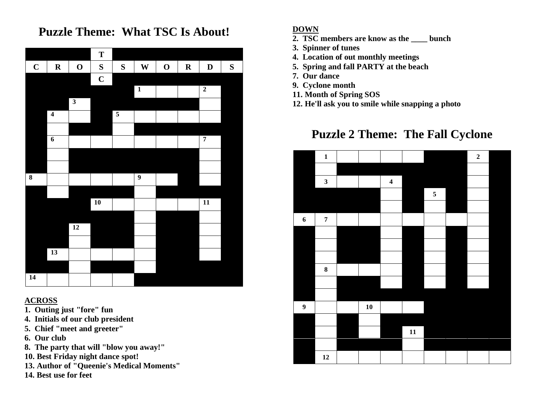## **Puzzle Theme: What TSC Is About!**



#### **ACROSS**

- **1. Outing just "fore" fun**
- **4. Initials of our club president**
- **5. Chief "meet and greeter"**
- **6. Our club**
- **8. The party that will "blow you away!"**
- **10. Best Friday night dance spot!**
- **13. Author of "Queenie's Medical Moments"**
- **14. Best use for feet**

#### **DOWN**

- **2. TSC members are know as the \_\_\_\_ bunch**
- **3. Spinner of tunes**
- **4. Location of out monthly meetings**
- **5. Spring and fall PARTY at the beach**
- **7. Our dance**
- **9. Cyclone month**
- **11. Month of Spring SOS**
- **12. He'll ask you to smile while snapping a photo**

## **Puzzle 2 Theme: The Fall Cyclone**

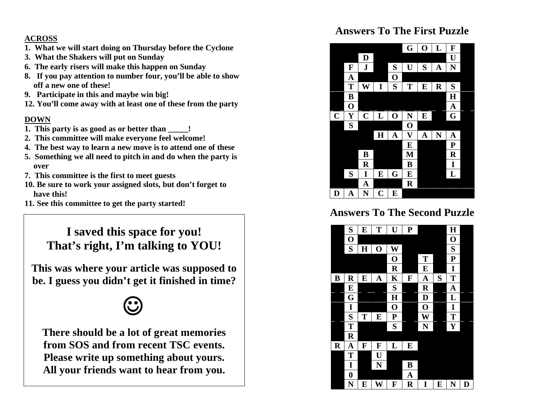#### **ACROSS**

- **1. What we will start doing on Thursday before the Cyclone**
- **3. What the Shakers will put on Sunday**
- **6. The early risers will make this happen on Sunday**
- **8. If you pay attention to number four, you'll be able to show off a new one of these!**
- **9. Participate in this and maybe win big!**
- **12. You'll come away with at least one of these from the party**

#### **DOWN**

- **1. This party is as good as or better than \_\_\_\_\_!**
- **2. This committee will make everyone feel welcome!**
- **4. The best way to learn a new move is to attend one of these**
- **5. Something we all need to pitch in and do when the party is over**
- **7. This committee is the first to meet guests**
- **10. Be sure to work your assigned slots, but don't forget to have this!**
- **11. See this committee to get the party started!**

## **I saved this space for you! That's right, I'm talking to YOU!**

**This was where your article was supposed to be. I guess you didn't get it finished in time?** 



**There should be a lot of great memories from SOS and from recent TSC events. Please write up something about yours. All your friends want to hear from you.** 

#### **Answers To The First Puzzle**



### **Answers To The Second Puzzle**

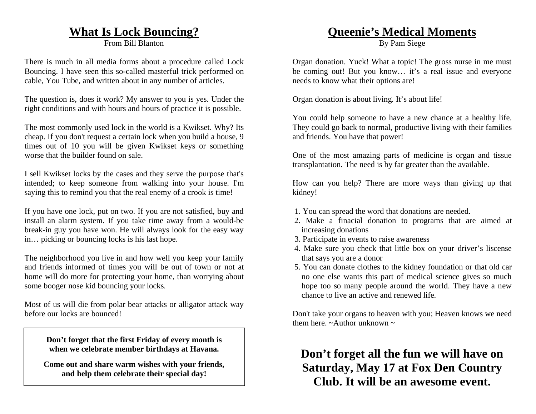#### **What Is Lock Bouncing?**

From Bill Blanton

There is much in all media forms about a procedure called Lock Bouncing. I have seen this so-called masterful trick performed on cable, You Tube, and written about in any number of articles.

The question is, does it work? My answer to you is yes. Under the right conditions and with hours and hours of practice it is possible.

The most commonly used lock in the world is a Kwikset. Why? Its cheap. If you don't request a certain lock when you build a house, 9 times out of 10 you will be given Kwikset keys or something worse that the builder found on sale.

I sell Kwikset locks by the cases and they serve the purpose that's intended; to keep someone from walking into your house. I'm saying this to remind you that the real enemy of a crook is time!

If you have one lock, put on two. If you are not satisfied, buy and install an alarm system. If you take time away from a would-be break-in guy you have won. He will always look for the easy way in… picking or bouncing locks is his last hope.

The neighborhood you live in and how well you keep your family and friends informed of times you will be out of town or not at home will do more for protecting your home, than worrying about some booger nose kid bouncing your locks.

Most of us will die from polar bear attacks or alligator attack way before our locks are bounced!

> **Don't forget that the first Friday of every month is when we celebrate member birthdays at Havana.**

**Come out and share warm wishes with your friends, and help them celebrate their special day!** 

#### **Queenie's Medical Moments**

By Pam Siege

Organ donation. Yuck! What a topic! The gross nurse in me must be coming out! But you know… it's a real issue and everyone needs to know what their options are!

Organ donation is about living. It's about life!

You could help someone to have a new chance at a healthy life. They could go back to normal, productive living with their families and friends. You have that power!

One of the most amazing parts of medicine is organ and tissue transplantation. The need is by far greater than the available.

How can you help? There are more ways than giving up that kidney!

- 1. You can spread the word that donations are needed.
- 2. Make a finacial donation to programs that are aimed at increasing donations
- 3. Participate in events to raise awareness
- 4. Make sure you check that little box on your driver's liscense that says you are a donor
- 5. You can donate clothes to the kidney foundation or that old car no one else wants this part of medical science gives so much hope too so many people around the world. They have a new chance to live an active and renewed life.

Don't take your organs to heaven with you; Heaven knows we need them here.  $\sim$ Author unknown  $\sim$ 

## **Don't forget all the fun we will have on Saturday, May 17 at Fox Den Country Club. It will be an awesome event.**